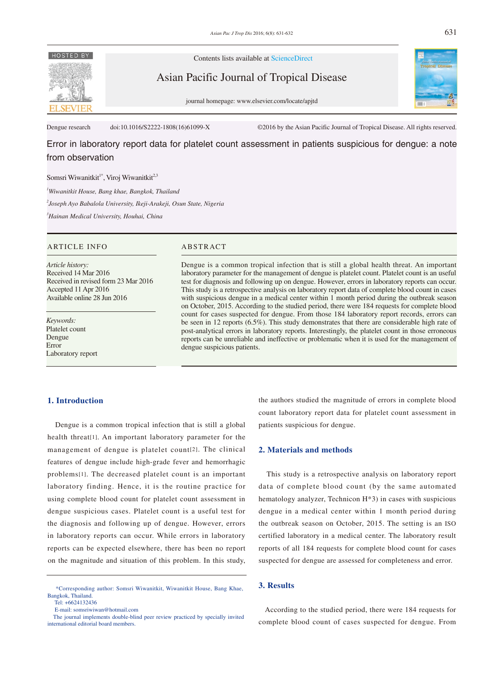

Contents lists available at ScienceDirect

Asian Pacific Journal of Tropical Disease



journal homepage: www.elsevier.com/locate/apjtd

Dengue research doi:10.1016/S2222-1808(16)61099-X ©2016 by the Asian Pacific Journal of Tropical Disease. All rights reserved.

Error in laboratory report data for platelet count assessment in patients suspicious for dengue: a note from observation

## Somsri Wiwanitkit<sup>1\*</sup>, Viroj Wiwanitkit<sup>2,3</sup>

*1 Wiwanitkit House, Bang khae, Bangkok, Thailand* 

*2 Joseph Ayo Babalola University, Ikeji-Arakeji, Osun State, Nigeria* 

*3 Hainan Medical University, Houhai, China*

## ARTICLE INFO ABSTRACT

*Article history:* Received 14 Mar 2016 Received in revised form 23 Mar 2016 Accepted 11 Apr 2016 Available online 28 Jun 2016

*Keywords:* Platelet count Dengue Error Laboratory report

Dengue is a common tropical infection that is still a global health threat. An important laboratory parameter for the management of dengue is platelet count. Platelet count is an useful test for diagnosis and following up on dengue. However, errors in laboratory reports can occur. This study is a retrospective analysis on laboratory report data of complete blood count in cases with suspicious dengue in a medical center within 1 month period during the outbreak season on October, 2015. According to the studied period, there were 184 requests for complete blood count for cases suspected for dengue. From those 184 laboratory report records, errors can be seen in 12 reports (6.5%). This study demonstrates that there are considerable high rate of post-analytical errors in laboratory reports. Interestingly, the platelet count in those erroneous reports can be unreliable and ineffective or problematic when it is used for the management of dengue suspicious patients.

#### **1. Introduction**

 Dengue is a common tropical infection that is still a global health threat[1]. An important laboratory parameter for the management of dengue is platelet count[2]. The clinical features of dengue include high-grade fever and hemorrhagic problems[1]. The decreased platelet count is an important laboratory finding. Hence, it is the routine practice for using complete blood count for platelet count assessment in dengue suspicious cases. Platelet count is a useful test for the diagnosis and following up of dengue. However, errors in laboratory reports can occur. While errors in laboratory reports can be expected elsewhere, there has been no report on the magnitude and situation of this problem. In this study,

the authors studied the magnitude of errors in complete blood count laboratory report data for platelet count assessment in patients suspicious for dengue.

#### **2. Materials and methods**

 This study is a retrospective analysis on laboratory report data of complete blood count (by the same automated hematology analyzer, Technicon H\*3) in cases with suspicious dengue in a medical center within 1 month period during the outbreak season on October, 2015. The setting is an ISO certified laboratory in a medical center. The laboratory result reports of all 184 requests for complete blood count for cases suspected for dengue are assessed for completeness and error.

# **3. Results**

 According to the studied period, there were 184 requests for complete blood count of cases suspected for dengue. From

 <sup>\*</sup>Corresponding author: Somsri Wiwanitkit, Wiwanitkit House, Bang Khae, Bangkok, Thailand.

Tel: +6624132436

E-mail: somsriwiwan@hotmail.com

The journal implements double-blind peer review practiced by specially invited international editorial board members.